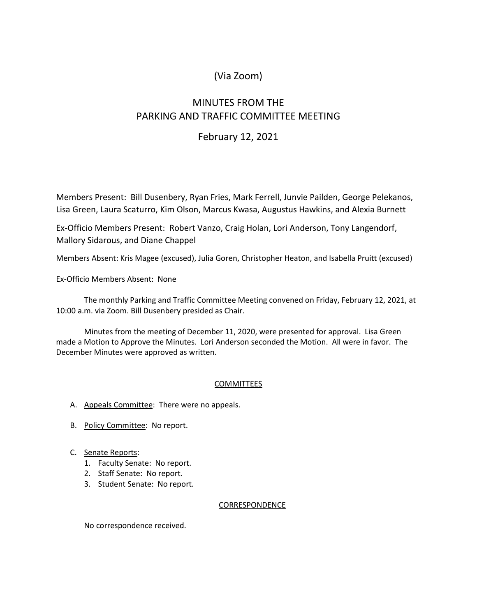# (Via Zoom)

# MINUTES FROM THE PARKING AND TRAFFIC COMMITTEE MEETING

### February 12, 2021

Members Present: Bill Dusenbery, Ryan Fries, Mark Ferrell, Junvie Pailden, George Pelekanos, Lisa Green, Laura Scaturro, Kim Olson, Marcus Kwasa, Augustus Hawkins, and Alexia Burnett

Ex-Officio Members Present: Robert Vanzo, Craig Holan, Lori Anderson, Tony Langendorf, Mallory Sidarous, and Diane Chappel

Members Absent: Kris Magee (excused), Julia Goren, Christopher Heaton, and Isabella Pruitt (excused)

Ex-Officio Members Absent: None

The monthly Parking and Traffic Committee Meeting convened on Friday, February 12, 2021, at 10:00 a.m. via Zoom. Bill Dusenbery presided as Chair.

Minutes from the meeting of December 11, 2020, were presented for approval. Lisa Green made a Motion to Approve the Minutes. Lori Anderson seconded the Motion. All were in favor. The December Minutes were approved as written.

### COMMITTEES

- A. Appeals Committee: There were no appeals.
- B. Policy Committee: No report.
- C. Senate Reports:
	- 1. Faculty Senate: No report.
	- 2. Staff Senate: No report.
	- 3. Student Senate: No report.

#### CORRESPONDENCE

No correspondence received.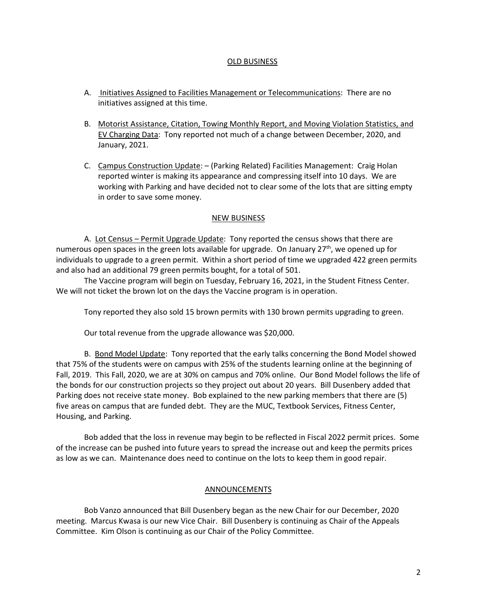#### OLD BUSINESS

- A. Initiatives Assigned to Facilities Management or Telecommunications: There are no initiatives assigned at this time.
- B. Motorist Assistance, Citation, Towing Monthly Report, and Moving Violation Statistics, and EV Charging Data: Tony reported not much of a change between December, 2020, and January, 2021.
- C. Campus Construction Update: (Parking Related) Facilities Management: Craig Holan reported winter is making its appearance and compressing itself into 10 days. We are working with Parking and have decided not to clear some of the lots that are sitting empty in order to save some money.

#### NEW BUSINESS

A. Lot Census – Permit Upgrade Update: Tony reported the census shows that there are numerous open spaces in the green lots available for upgrade. On January  $27<sup>th</sup>$ , we opened up for individuals to upgrade to a green permit. Within a short period of time we upgraded 422 green permits and also had an additional 79 green permits bought, for a total of 501.

The Vaccine program will begin on Tuesday, February 16, 2021, in the Student Fitness Center. We will not ticket the brown lot on the days the Vaccine program is in operation.

Tony reported they also sold 15 brown permits with 130 brown permits upgrading to green.

Our total revenue from the upgrade allowance was \$20,000.

B. Bond Model Update: Tony reported that the early talks concerning the Bond Model showed that 75% of the students were on campus with 25% of the students learning online at the beginning of Fall, 2019. This Fall, 2020, we are at 30% on campus and 70% online. Our Bond Model follows the life of the bonds for our construction projects so they project out about 20 years. Bill Dusenbery added that Parking does not receive state money. Bob explained to the new parking members that there are (5) five areas on campus that are funded debt. They are the MUC, Textbook Services, Fitness Center, Housing, and Parking.

Bob added that the loss in revenue may begin to be reflected in Fiscal 2022 permit prices. Some of the increase can be pushed into future years to spread the increase out and keep the permits prices as low as we can. Maintenance does need to continue on the lots to keep them in good repair.

#### **ANNOUNCEMENTS**

Bob Vanzo announced that Bill Dusenbery began as the new Chair for our December, 2020 meeting. Marcus Kwasa is our new Vice Chair. Bill Dusenbery is continuing as Chair of the Appeals Committee. Kim Olson is continuing as our Chair of the Policy Committee.